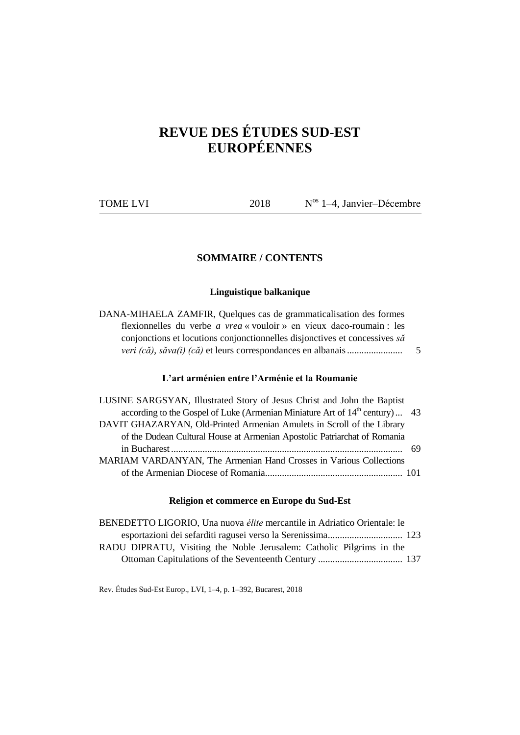# **REVUE DES ÉTUDES SUD-EST EUROPÉENNES**

| <b>TOME LVI</b> | 2018 | $N^{os}$ 1–4, Janvier–Décembre |
|-----------------|------|--------------------------------|
|                 |      |                                |

# **SOMMAIRE / CONTENTS**

## **Linguistique balkanique**

DANA-MIHAELA ZAMFIR, Quelques cas de grammaticalisation des formes flexionnelles du verbe *a vrea* « vouloir » en vieux daco-roumain : les conjonctions et locutions conjonctionnelles disjonctives et concessives *să veri (că)*, *săva(i) (că)* et leurs correspondances en albanais....................... 5

# **L'art arménien entre l'Arménie et la Roumanie**

| LUSINE SARGSYAN, Illustrated Story of Jesus Christ and John the Baptist        |     |
|--------------------------------------------------------------------------------|-----|
| according to the Gospel of Luke (Armenian Miniature Art of $14th$ century)  43 |     |
| DAVIT GHAZARYAN, Old-Printed Armenian Amulets in Scroll of the Library         |     |
| of the Dudean Cultural House at Armenian Apostolic Patriarchat of Romania      |     |
|                                                                                | -69 |
| MARIAM VARDANYAN, The Armenian Hand Crosses in Various Collections             |     |
|                                                                                |     |

## **Religion et commerce en Europe du Sud-Est**

| BENEDETTO LIGORIO, Una nuova élite mercantile in Adriatico Orientale: le |  |
|--------------------------------------------------------------------------|--|
|                                                                          |  |
| RADU DIPRATU, Visiting the Noble Jerusalem: Catholic Pilgrims in the     |  |
|                                                                          |  |

Rev. Études Sud-Est Europ., LVI, 1–4, p. 1–392, Bucarest, 2018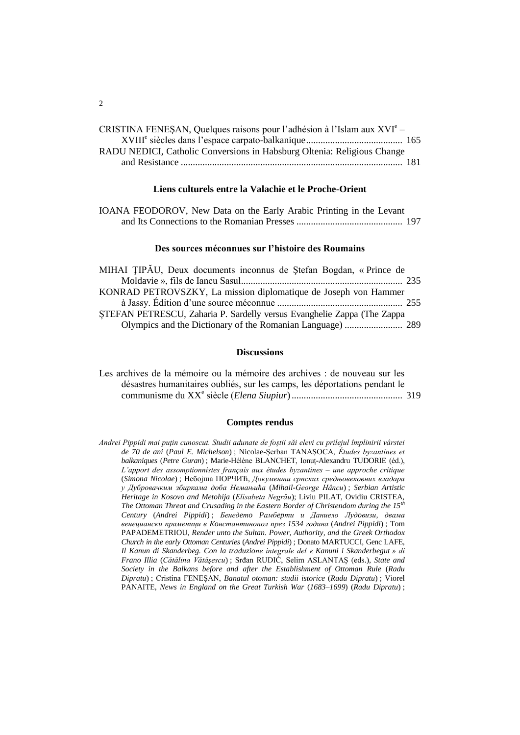| CRISTINA FENESAN, Quelques raisons pour l'adhésion à l'Islam aux $XVI^e$ – |  |
|----------------------------------------------------------------------------|--|
|                                                                            |  |
| RADU NEDICI, Catholic Conversions in Habsburg Oltenia: Religious Change    |  |
|                                                                            |  |

# **Liens culturels entre la Valachie et le Proche-Orient**

| IOANA FEODOROV, New Data on the Early Arabic Printing in the Levant |  |
|---------------------------------------------------------------------|--|
|                                                                     |  |

### **Des sources méconnues sur l'histoire des Roumains**

| MIHAI TIPAU, Deux documents inconnus de Stefan Bogdan, « Prince de      |
|-------------------------------------------------------------------------|
|                                                                         |
| KONRAD PETROVSZKY, La mission diplomatique de Joseph von Hammer         |
|                                                                         |
| STEFAN PETRESCU, Zaharia P. Sardelly versus Evanghelie Zappa (The Zappa |
|                                                                         |

## **Discussions**

|  | Les archives de la mémoire ou la mémoire des archives : de nouveau sur les |  |  |  |
|--|----------------------------------------------------------------------------|--|--|--|
|  | désastres humanitaires oubliés, sur les camps, les déportations pendant le |  |  |  |
|  |                                                                            |  |  |  |

## **Comptes rendus**

*Andrei Pippidi mai puțin cunoscut. Studii adunate de foștii săi elevi cu prilejul împlinirii vârstei de 70 de ani* (*Paul E. Michelson*) ; Nicolae-Șerban TANAȘOCA, *Études byzantines et balkaniques* (*Petre Guran*) ; Marie-Hélène BLANCHET, Ionuț-Alexandru TUDORIE (éd.), *L'apport des assomptionnistes français aux études byzantines ‒ une approche critique*  (*Simona Nicolae*) ; Небојша ПОРЧИЋ, *Документи српских средњовековних владара у Дубровачким збиркама доба Немањића* (*Mihail-George Hâncu*) ; *Serbian Artistic Heritage in Kosovo and Metohija* (*Elisabeta Negrău*); Liviu PILAT, Ovidiu CRISTEA, *The Ottoman Threat and Crusading in the Eastern Border of Christendom during the 15th Century* (*Andrei Pippidi*) ; *Ƃенедeтo Pамбepти и Даниело Лудoвизи, двама венециански праменици в Кoнстантинопол през 1534 година* (*Andrei Pippidi*) ; Tom PAPADEMETRIOU, *Render unto the Sultan. Power, Authority, and the Greek Orthodox Church in the early Ottoman Centuries* (*Andrei Pippidi*) ; Donato MARTUCCI, Genc LAFE, *Il Kanun di Skanderbeg. Con la traduzione integrale del « Kanuni i Skanderbegut » di Frano Illia* (*Cătălina Vătăşescu*) ; Srđan RUDIĆ, Selim ASLANTAȘ (eds.), *State and Society in the Balkans before and after the Establishment of Ottoman Rule* (*Radu Dipratu*) ; Cristina FENEȘAN, *Banatul otoman: studii istorice* (*Radu Dipratu*) ; Viorel PANAITE, *News in England on the Great Turkish War* (*1683–1699*) (*Radu Dipratu*) ;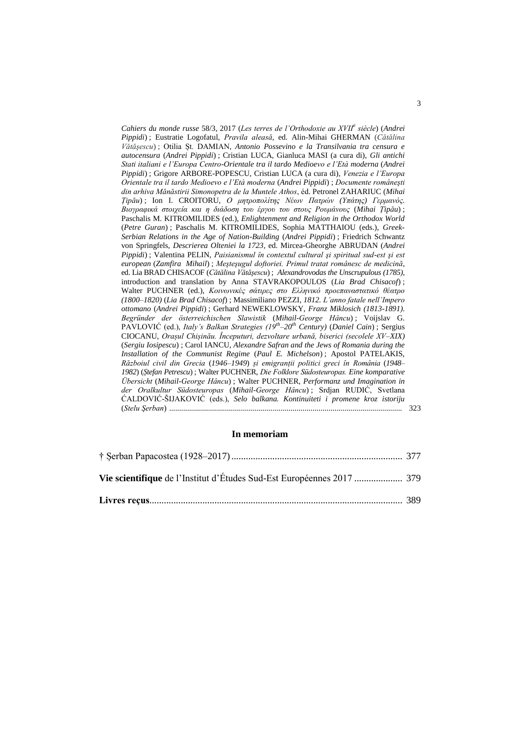*Cahiers du monde russe* 58/3, 2017 (*Les terres de l'Orthodoxie au XVII<sup>e</sup> siècle*) (*Andrei Pippidi*) ; Eustratie Logofatul, *Pravila aleasă*, ed. Alin-Mihai GHERMAN (*Cătălina Vătăşescu*) ; Otilia Șt. DAMIAN, *Antonio Possevino e la Transilvania tra censura e autocensura* (*Andrei Pippidi*) ; Cristian LUCA, Gianluca MASI (a cura di), *Gli antichi Stati italiani e l'Europa Centro-Orientale tra il tardo Medioevo e l'Età moderna* (*Andrei Pippidi*) ; Grigore ARBORE-POPESCU, Cristian LUCA (a cura di), *Venezia e l'Europa Orientale tra il tardo Medioevo e l'Età moderna* (*Andrei Pippidi*) ; *Documente româneşti din arhiva Mănăstirii Simonopetra de la Muntele Athos*, éd. Petronel ZAHARIUC (*Mihai Țipău*) ; Ion I. CROITORU, *Ο μητροπολίτης Νέων Πατρών (Υπάτης) Γερμανός. Βιογραφικά στοιχεία και η διάδοση του έργου του στους Ρουμάνους* (*Mihai Țipău*) ; Paschalis M. KITROMILIDES (ed.), *Enlightenment and Religion in the Orthodox World* (*Petre Guran*) ; Paschalis M. KITROMILIDES, Sophia MATTHAIOU (eds.), *Greek-Serbian Relations in the Age of Nation-Building* (*Andrei Pippidi*) ; Friedrich Schwantz von Springfels, *Descrierea Olteniei la 1723*, ed. Mircea-Gheorghe ABRUDAN (*Andrei Pippidi*) ; Valentina PELIN, *Paisianismul în contextul cultural şi spiritual sud-est şi est european* (*Zamfira Mihail*) ; *Meşteşugul doftoriei. Primul tratat românesc de medicină*, ed. Lia BRAD CHISACOF (*Cătălina Vătăşescu*) ; *Alexandrovodas the Unscrupulous (1785)*, introduction and translation by Anna STAVRAKOPOULOS (*Lia Brad Chisacof*) ; Walter PUCHNER (ed.), *Κοινωνικές σάτιρες στο Ελληνικό προεπαναστατικό θέατρο (1800–1820)* (*Lia Brad Chisacof*) ; Massimiliano PEZZI, *1812. L'anno fatale nell'Impero ottomano* (*Andrei Pippidi*) ; Gerhard NEWEKLOWSKY, *Franz Miklosich (1813-1891). Begründer der österreichischen Slawistik* (*Mihail-George Hâncu*) ; Voijslav G. PAVLOVIĆ (ed.), *Italy's Balkan Strategies (19th –20th Century)* (*Daniel Cain*) ; Sergius CIOCANU, *Orașul Chișinău. Începuturi, dezvoltare urbană, biserici (secolele XV–XIX)* (*Sergiu Iosipescu*) ; Carol IANCU, *Alexandre Safran and the Jews of Romania during the Installation of the Communist Regime* (*Paul E. Michelson*) ; Apostol PATELAKIS, *Războiul civil din Grecia* (*1946–1949*) *și emigranții politici greci în România* (*1948– 1982*) (*Ștefan Petrescu*) ; Walter PUCHNER, *Die Folklore Südosteuropas. Eine komparative Übersicht* (*Mihail-George Hâncu*) ; Walter PUCHNER, *Performanz und Imagination in der Oralkultur Südosteuropas* (*Mihail-George Hâncu*) ; Srdjan RUDIĆ, Svetlana ĆALDOVIĆ-ŠIJAKOVIĆ (eds.), *Selo balkana. Kontinuiteti i promene kroz istoriju* (*Stelu Şerban*) ..................................................................................................................... 323

## **In memoriam**

| Vie scientifique de l'Institut d'Études Sud-Est Européennes 2017  379 |  |
|-----------------------------------------------------------------------|--|
|                                                                       |  |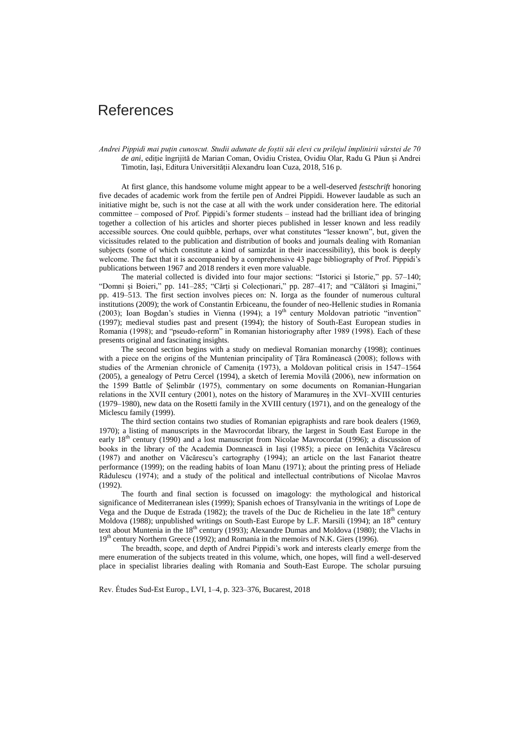# References

*Andrei Pippidi mai puțin cunoscut. Studii adunate de foștii săi elevi cu prilejul împlinirii vârstei de 70 de ani*, ediție îngrijită de Marian Coman, Ovidiu Cristea, Ovidiu Olar, Radu G. Păun și Andrei Timotin, Iași, Editura Universității Alexandru Ioan Cuza, 2018, 516 p.

At first glance, this handsome volume might appear to be a well-deserved *festschrift* honoring five decades of academic work from the fertile pen of Andrei Pippidi. However laudable as such an initiative might be, such is not the case at all with the work under consideration here. The editorial committee – composed of Prof. Pippidi's former students – instead had the brilliant idea of bringing together a collection of his articles and shorter pieces published in lesser known and less readily accessible sources. One could quibble, perhaps, over what constitutes "lesser known", but, given the vicissitudes related to the publication and distribution of books and journals dealing with Romanian subjects (some of which constitute a kind of samizdat in their inaccessibility), this book is deeply welcome. The fact that it is accompanied by a comprehensive 43 page bibliography of Prof. Pippidi's publications between 1967 and 2018 renders it even more valuable.

The material collected is divided into four major sections: "Istorici și Istorie," pp. 57–140; "Domni și Boieri," pp. 141–285; "Cărți și Colecționari," pp. 287–417; and "Călători și Imagini," pp. 419–513. The first section involves pieces on: N. Iorga as the founder of numerous cultural institutions (2009); the work of Constantin Erbiceanu, the founder of neo-Hellenic studies in Romania  $(2003)$ ; Ioan Bogdan's studies in Vienna  $(1994)$ ; a  $19<sup>th</sup>$  century Moldovan patriotic "invention" (1997); medieval studies past and present (1994); the history of South-East European studies in Romania (1998); and "pseudo-reform" in Romanian historiography after 1989 (1998). Each of these presents original and fascinating insights.

The second section begins with a study on medieval Romanian monarchy (1998); continues with a piece on the origins of the Muntenian principality of Țăra Românească (2008); follows with studies of the Armenian chronicle of Camenița (1973), a Moldovan political crisis in 1547–1564 (2005), a genealogy of Petru Cercel (1994), a sketch of Ieremia Movilă (2006), new information on the 1599 Battle of Șelimbăr (1975), commentary on some documents on Romanian-Hungarian relations in the XVII century (2001), notes on the history of Maramureș in the XVI–XVIII centuries (1979–1980), new data on the Rosetti family in the XVIII century (1971), and on the genealogy of the Miclescu family (1999).

The third section contains two studies of Romanian epigraphists and rare book dealers (1969, 1970); a listing of manuscripts in the Mavrocordat library, the largest in South East Europe in the early 18<sup>th</sup> century (1990) and a lost manuscript from Nicolae Mavrocordat (1996); a discussion of books in the library of the Academia Domnească in Iași (1985); a piece on Ienăchița Văcărescu (1987) and another on Văcărescu's cartography (1994); an article on the last Fanariot theatre performance (1999); on the reading habits of Ioan Manu (1971); about the printing press of Heliade Rădulescu (1974); and a study of the political and intellectual contributions of Nicolae Mavros (1992).

The fourth and final section is focussed on imagology: the mythological and historical significance of Mediterranean isles (1999); Spanish echoes of Transylvania in the writings of Lope de Vega and the Duque de Estrada (1982); the travels of the Duc de Richelieu in the late  $18<sup>th</sup>$  century Moldova (1988); unpublished writings on South-East Europe by L.F. Marsili (1994); an 18<sup>th</sup> century text about Muntenia in the 18<sup>th</sup> century (1993); Alexandre Dumas and Moldova (1980); the Vlachs in 19<sup>th</sup> century Northern Greece (1992); and Romania in the memoirs of N.K. Giers (1996).

The breadth, scope, and depth of Andrei Pippidi's work and interests clearly emerge from the mere enumeration of the subjects treated in this volume, which, one hopes, will find a well-deserved place in specialist libraries dealing with Romania and South-East Europe. The scholar pursuing

Rev. Études Sud-Est Europ., LVI, 1–4, p. 323–376, Bucarest, 2018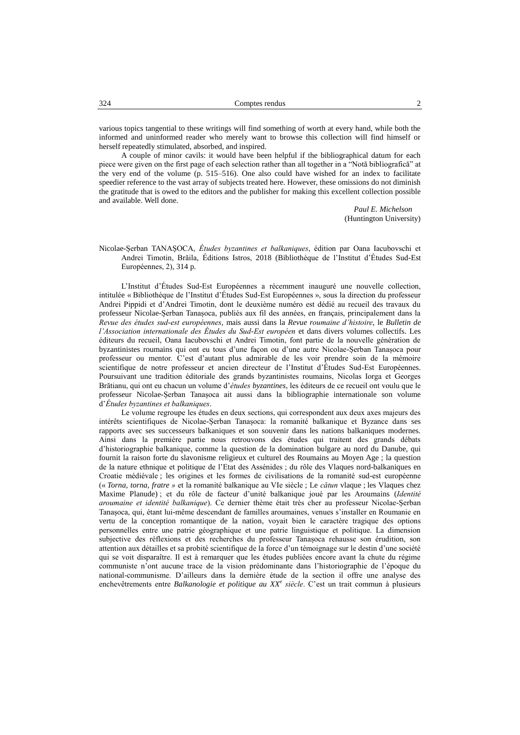various topics tangential to these writings will find something of worth at every hand, while both the informed and uninformed reader who merely want to browse this collection will find himself or herself repeatedly stimulated, absorbed, and inspired.

A couple of minor cavils: it would have been helpful if the bibliographical datum for each piece were given on the first page of each selection rather than all together in a "Notă bibliografică" at the very end of the volume (p. 515–516). One also could have wished for an index to facilitate speedier reference to the vast array of subjects treated here. However, these omissions do not diminish the gratitude that is owed to the editors and the publisher for making this excellent collection possible and available. Well done.

> *Paul E. Michelson* (Huntington University)

Nicolae-Șerban TANAȘOCA, *Études byzantines et balkaniques*, édition par Oana Iacubovschi et Andrei Timotin, Brăila, Éditions Istros, 2018 (Bibliothèque de l'Institut d'Études Sud-Est Européennes, 2), 314 p.

L'Institut d'Études Sud-Est Européennes a récemment inauguré une nouvelle collection, intitulée « Bibliothèque de l'Institut d'Études Sud-Est Européennes », sous la direction du professeur Andrei Pippidi et d'Andrei Timotin, dont le deuxième numéro est dédié au recueil des travaux du professeur Nicolae-Șerban Tanașoca, publiés aux fil des années, en français, principalement dans la *Revue des études sud-est européennes*, mais aussi dans la *Revue roumaine d'histoire*, le *Bulletin de l'Association internationale des Études du Sud-Est européen* et dans divers volumes collectifs. Les éditeurs du recueil, Oana Iacubovschi et Andrei Timotin, font partie de la nouvelle génération de byzantinistes roumains qui ont eu tous d'une façon ou d'une autre Nicolae-Șerban Tanașoca pour professeur ou mentor. C'est d'autant plus admirable de les voir prendre soin de la mémoire scientifique de notre professeur et ancien directeur de l'Institut d'Études Sud-Est Européennes. Poursuivant une tradition éditoriale des grands byzantinistes roumains, Nicolas Iorga et Georges Brătianu, qui ont eu chacun un volume d'*études byzantines*, les éditeurs de ce recueil ont voulu que le professeur Nicolae-Șerban Tanașoca ait aussi dans la bibliographie internationale son volume d'*Études byzantines et balkaniques*.

Le volume regroupe les études en deux sections, qui correspondent aux deux axes majeurs des intérêts scientifiques de Nicolae-Șerban Tanașoca: la romanité balkanique et Byzance dans ses rapports avec ses successeurs balkaniques et son souvenir dans les nations balkaniques modernes. Ainsi dans la première partie nous retrouvons des études qui traitent des grands débats d'historiographie balkanique, comme la question de la domination bulgare au nord du Danube, qui fournit la raison forte du slavonisme religieux et culturel des Roumains au Moyen Age ; la question de la nature ethnique et politique de l'Etat des Assénides ; du rôle des Vlaques nord-balkaniques en Croatie médiévale ; les origines et les formes de civilisations de la romanité sud-est européenne (« *Torna, torna, fratre »* et la romanité balkanique au VIe siècle ; Le *cătun* vlaque ; les Vlaques chez Maxime Planude) ; et du rôle de facteur d'unité balkanique joué par les Aroumains (*Identité aroumaine et identité balkanique*). Ce dernier thème était très cher au professeur Nicolae-Șerban Tanașoca, qui, étant lui-même descendant de familles aroumaines, venues s'installer en Roumanie en vertu de la conception romantique de la nation, voyait bien le caractère tragique des options personnelles entre une patrie géographique et une patrie linguistique et politique. La dimension subjective des réflexions et des recherches du professeur Tanașoca rehausse son érudition, son attention aux détailles et sa probité scientifique de la force d'un témoignage sur le destin d'une société qui se voit disparaître. Il est à remarquer que les études publiées encore avant la chute du régime communiste n'ont aucune trace de la vision prédominante dans l'historiographie de l'époque du national-communisme. D'ailleurs dans la dernière étude de la section il offre une analyse des enchevêtrements entre *Balkanologie et politique au XX<sup>e</sup> siècle*. C'est un trait commun à plusieurs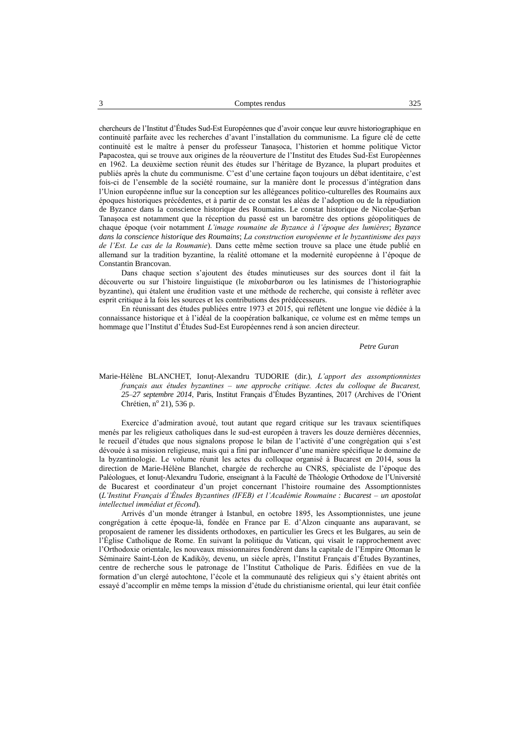chercheurs de l'Institut d'Études Sud-Est Européennes que d'avoir conçue leur œuvre historiographique en continuité parfaite avec les recherches d'avant l'installation du communisme. La figure clé de cette continuité est le maître à penser du professeur Tanașoca, l'historien et homme politique Victor Papacostea, qui se trouve aux origines de la réouverture de l'Institut des Etudes Sud-Est Européennes en 1962. La deuxième section réunit des études sur l'héritage de Byzance, la plupart produites et publiés après la chute du communisme. C'est d'une certaine façon toujours un débat identitaire, c'est fois-ci de l'ensemble de la société roumaine, sur la manière dont le processus d'intégration dans l'Union européenne influe sur la conception sur les allégeances politico-culturelles des Roumains aux époques historiques précédentes, et à partir de ce constat les aléas de l'adoption ou de la répudiation de Byzance dans la conscience historique des Roumains. Le constat historique de Nicolae-Șerban Tanașoca est notamment que la réception du passé est un baromètre des options géopolitiques de chaque époque (voir notamment *L'image roumaine de Byzance à l'époque des lumières*; *Byzance dans la conscience historique des Roumains*; *La construction européenne et le byzantinisme des pays de l'Est. Le cas de la Roumanie*). Dans cette même section trouve sa place une étude publié en allemand sur la tradition byzantine, la réalité ottomane et la modernité européenne à l'époque de Constantin Brancovan.

Dans chaque section s'ajoutent des études minutieuses sur des sources dont il fait la découverte ou sur l'histoire linguistique (le *mixobarbaron* ou les latinismes de l'historiographie byzantine), qui étalent une érudition vaste et une méthode de recherche, qui consiste à refléter avec esprit critique à la fois les sources et les contributions des prédécesseurs.

En réunissant des études publiées entre 1973 et 2015, qui reflètent une longue vie dédiée à la connaissance historique et à l'idéal de la coopération balkanique, ce volume est en même temps un hommage que l'Institut d'Études Sud-Est Européennes rend à son ancien directeur.

#### *Petre Guran*

Marie-Hélène BLANCHET, Ionuț-Alexandru TUDORIE (dir.), *L'apport des assomptionnistes français aux études byzantines ‒ une approche critique. Actes du colloque de Bucarest, 25–27 septembre 2014*, Paris, Institut Français d'Études Byzantines, 2017 (Archives de l'Orient Chrétien, nº 21), 536 p.

Exercice d'admiration avoué, tout autant que regard critique sur les travaux scientifiques menés par les religieux catholiques dans le sud-est européen à travers les douze dernières décennies, le recueil d'études que nous signalons propose le bilan de l'activité d'une congrégation qui s'est dévouée à sa mission religieuse, mais qui a fini par influencer d'une manière spécifique le domaine de la byzantinologie. Le volume réunit les actes du colloque organisé à Bucarest en 2014, sous la direction de Marie-Hélène Blanchet, chargée de recherche au CNRS, spécialiste de l'époque des Paléologues, et Ionuț-Alexandru Tudorie, enseignant à la Faculté de Théologie Orthodoxe de l'Université de Bucarest et coordinateur d'un projet concernant l'histoire roumaine des Assomptionnistes (*L'Institut Français d'Études Byzantines (IFEB) et l'Académie Roumaine : Bucarest – un apostolat intellectuel immédiat et fécond*).

Arrivés d'un monde étranger à Istanbul, en octobre 1895, les Assomptionnistes, une jeune congrégation à cette époque-là, fondée en France par E. d'Alzon cinquante ans auparavant, se proposaient de ramener les dissidents orthodoxes, en particulier les Grecs et les Bulgares, au sein de l'Église Catholique de Rome. En suivant la politique du Vatican, qui visait le rapprochement avec l'Orthodoxie orientale, les nouveaux missionnaires fondèrent dans la capitale de l'Empire Ottoman le Séminaire Saint-Léon de Kadiköy, devenu, un siècle après, l'Institut Français d'Études Byzantines, centre de recherche sous le patronage de l'Institut Catholique de Paris. Édifiées en vue de la formation d'un clergé autochtone, l'école et la communauté des religieux qui s'y étaient abrités ont essayé d'accomplir en même temps la mission d'étude du christianisme oriental, qui leur était confiée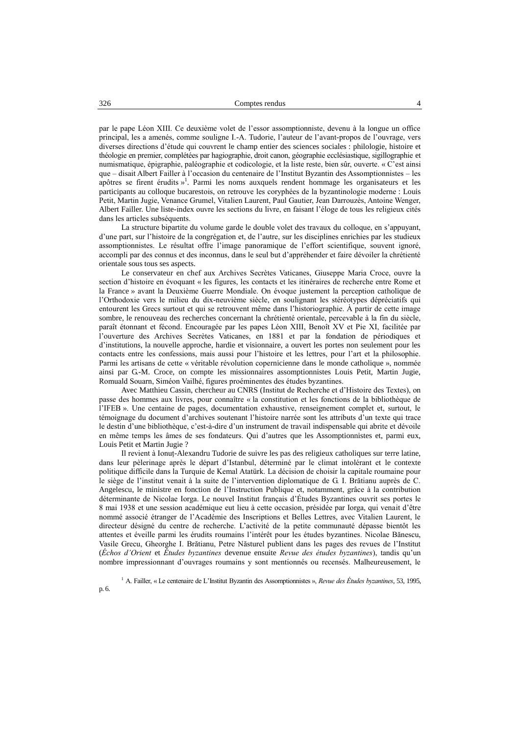par le pape Léon XIII. Ce deuxième volet de l'essor assomptionniste, devenu à la longue un office principal, les a amenés, comme souligne I.-A. Tudorie, l'auteur de l'avant-propos de l'ouvrage, vers diverses directions d'étude qui couvrent le champ entier des sciences sociales : philologie, histoire et théologie en premier, complétées par hagiographie, droit canon, géographie ecclésiastique, sigillographie et numismatique, épigraphie, paléographie et codicologie, et la liste reste, bien sûr, ouverte. « C'est ainsi que – disait Albert Failler à l'occasion du centenaire de l'Institut Byzantin des Assomptionnistes – les apôtres se firent érudits »<sup>1</sup>. Parmi les noms auxquels rendent hommage les organisateurs et les participants au colloque bucarestois, on retrouve les coryphées de la byzantinologie moderne : Louis Petit, Martin Jugie, Venance Grumel, Vitalien Laurent, Paul Gautier, Jean Darrouzès, Antoine Wenger, Albert Failler. Une liste-index ouvre les sections du livre, en faisant l'éloge de tous les religieux cités dans les articles subséquents.

La structure bipartite du volume garde le double volet des travaux du colloque, en s'appuyant, d'une part, sur l'histoire de la congrégation et, de l'autre, sur les disciplines enrichies par les studieux assomptionnistes. Le résultat offre l'image panoramique de l'effort scientifique, souvent ignoré, accompli par des connus et des inconnus, dans le seul but d'appréhender et faire dévoiler la chrétienté orientale sous tous ses aspects.

Le conservateur en chef aux Archives Secrètes Vaticanes, Giuseppe Maria Croce, ouvre la section d'histoire en évoquant « les figures, les contacts et les itinéraires de recherche entre Rome et la France » avant la Deuxième Guerre Mondiale. On évoque justement la perception catholique de l'Orthodoxie vers le milieu du dix-neuvième siècle, en soulignant les stéréotypes dépréciatifs qui entourent les Grecs surtout et qui se retrouvent même dans l'historiographie. À partir de cette image sombre, le renouveau des recherches concernant la chrétienté orientale, percevable à la fin du siècle, paraît étonnant et fécond. Encouragée par les papes Léon XIII, Benoît XV et Pie XI, facilitée par l'ouverture des Archives Secrètes Vaticanes, en 1881 et par la fondation de périodiques et d'institutions, la nouvelle approche, hardie et visionnaire, a ouvert les portes non seulement pour les contacts entre les confessions, mais aussi pour l'histoire et les lettres, pour l'art et la philosophie. Parmi les artisans de cette « véritable révolution copernicienne dans le monde catholique », nommée ainsi par G.-M. Croce, on compte les missionnaires assomptionnistes Louis Petit, Martin Jugie, Romuald Souarn, Siméon Vailhé, figures proéminentes des études byzantines.

Avec Matthieu Cassin, chercheur au CNRS (Institut de Recherche et d'Histoire des Textes), on passe des hommes aux livres, pour connaître « la constitution et les fonctions de la bibliothèque de l'IFEB ». Une centaine de pages, documentation exhaustive, renseignement complet et, surtout, le témoignage du document d'archives soutenant l'histoire narrée sont les attributs d'un texte qui trace le destin d'une bibliothèque, c'est-à-dire d'un instrument de travail indispensable qui abrite et dévoile en même temps les âmes de ses fondateurs. Qui d'autres que les Assomptionnistes et, parmi eux, Louis Petit et Martin Jugie ?

Il revient à Ionuț-Alexandru Tudorie de suivre les pas des religieux catholiques sur terre latine, dans leur pèlerinage après le départ d'Istanbul, déterminé par le climat intolérant et le contexte politique difficile dans la Turquie de Kemal Atatürk. La décision de choisir la capitale roumaine pour le siège de l'institut venait à la suite de l'intervention diplomatique de G. I. Brătianu auprès de C. Angelescu, le ministre en fonction de l'Instruction Publique et, notamment, grâce à la contribution déterminante de Nicolae Iorga. Le nouvel Institut français d'Études Byzantines ouvrit ses portes le 8 mai 1938 et une session académique eut lieu à cette occasion, présidée par Iorga, qui venait d'être nommé associé étranger de l'Académie des Inscriptions et Belles Lettres, avec Vitalien Laurent, le directeur désigné du centre de recherche. L'activité de la petite communauté dépasse bientôt les attentes et éveille parmi les érudits roumains l'intérêt pour les études byzantines. Nicolae Bănescu, Vasile Grecu, Gheorghe I. Brătianu, Petre Năsturel publient dans les pages des revues de l'Institut (*Échos d'Orient* et *Études byzantines* devenue ensuite *Revue des études byzantines*), tandis qu'un nombre impressionnant d'ouvrages roumains y sont mentionnés ou recensés. Malheureusement, le

<sup>1</sup> A. Failler, « Le centenaire de L'Institut Byzantin des Assomptionnistes », *Revue des Études byzantines*, 53, 1995, p. 6.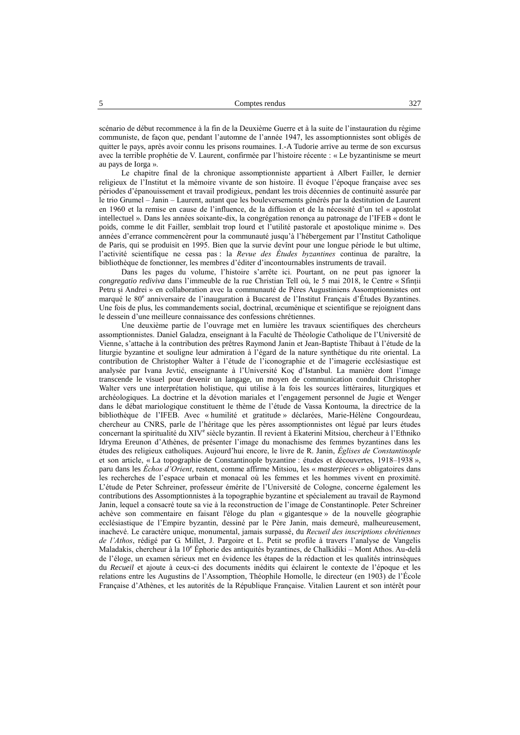scénario de début recommence à la fin de la Deuxième Guerre et à la suite de l'instauration du régime communiste, de façon que, pendant l'automne de l'année 1947, les assomptionnistes sont obligés de quitter le pays, après avoir connu les prisons roumaines. I.-A Tudorie arrive au terme de son excursus avec la terrible prophétie de V. Laurent, confirmée par l'histoire récente : « Le byzantinisme se meurt au pays de Iorga ».

Le chapitre final de la chronique assomptionniste appartient à Albert Failler, le dernier religieux de l'Institut et la mémoire vivante de son histoire. Il évoque l'époque française avec ses périodes d'épanouissement et travail prodigieux, pendant les trois décennies de continuité assurée par le trio Grumel – Janin – Laurent, autant que les bouleversements générés par la destitution de Laurent en 1960 et la remise en cause de l'influence, de la diffusion et de la nécessité d'un tel « apostolat intellectuel ». Dans les années soixante-dix, la congrégation renonça au patronage de l'IFEB « dont le poids, comme le dit Failler, semblait trop lourd et l'utilité pastorale et apostolique minime ». Des années d'errance commencèrent pour la communauté jusqu'à l'hébergement par l'Institut Catholique de Paris, qui se produisit en 1995. Bien que la survie devînt pour une longue période le but ultime, l'activité scientifique ne cessa pas : la *Revue des Études byzantines* continua de paraître, la bibliothèque de fonctionner, les membres d'éditer d'incontournables instruments de travail.

Dans les pages du volume, l'histoire s'arrête ici. Pourtant, on ne peut pas ignorer la *congregatio rediviva* dans l'immeuble de la rue Christian Tell où, le 5 mai 2018, le Centre « Sfinții Petru și Andrei » en collaboration avec la communauté de Pères Augustiniens Assomptionnistes ont marqué le 80<sup>e</sup> anniversaire de l'inauguration à Bucarest de l'Institut Français d'Études Byzantines. Une fois de plus, les commandements social, doctrinal, œcuménique et scientifique se rejoignent dans le dessein d'une meilleure connaissance des confessions chrétiennes.

Une deuxième partie de l'ouvrage met en lumière les travaux scientifiques des chercheurs assomptionnistes. Daniel Galadza, enseignant à la Faculté de Théologie Catholique de l'Université de Vienne, s'attache à la contribution des prêtres Raymond Janin et Jean-Baptiste Thibaut à l'étude de la liturgie byzantine et souligne leur admiration à l'égard de la nature synthétique du rite oriental. La contribution de Christopher Walter à l'étude de l'iconographie et de l'imagerie ecclésiastique est analysée par Ivana Jevtić, enseignante à l'Université Koç d'Istanbul. La manière dont l'image transcende le visuel pour devenir un langage, un moyen de communication conduit Christopher Walter vers une interprétation holistique, qui utilise à la fois les sources littéraires, liturgiques et archéologiques. La doctrine et la dévotion mariales et l'engagement personnel de Jugie et Wenger dans le débat mariologique constituent le thème de l'étude de Vassa Kontouma, la directrice de la bibliothèque de l'IFEB. Avec « humilité et gratitude » déclarées, Marie-Hélène Congourdeau, chercheur au CNRS, parle de l'héritage que les pères assomptionnistes ont légué par leurs études concernant la spiritualité du XIV<sup>e</sup> siècle byzantin. Il revient à Ekaterini Mitsiou, chercheur à l'Ethniko Idryma Ereunon d'Athènes, de présenter l'image du monachisme des femmes byzantines dans les études des religieux catholiques. Aujourd'hui encore, le livre de R. Janin, *Églises de Constantinople* et son article, « La topographie de Constantinople byzantine : études et découvertes, 1918–1938 », paru dans les *Échos d'Orient*, restent, comme affirme Mitsiou, les « *masterpieces* » obligatoires dans les recherches de l'espace urbain et monacal où les femmes et les hommes vivent en proximité. L'étude de Peter Schreiner, professeur émérite de l'Université de Cologne, concerne également les contributions des Assomptionnistes à la topographie byzantine et spécialement au travail de Raymond Janin, lequel a consacré toute sa vie à la reconstruction de l'image de Constantinople. Peter Schreiner achève son commentaire en faisant l'éloge du plan « gigantesque » de la nouvelle géographie ecclésiastique de l'Empire byzantin, dessiné par le Père Janin, mais demeuré, malheureusement, inachevé. Le caractère unique, monumental, jamais surpassé, du *Recueil des inscriptions chrétiennes de l'Athos*, rédigé par G. Millet, J. Pargoire et L. Petit se profile à travers l'analyse de Vangelis Maladakis, chercheur à la 10<sup>e</sup> Éphorie des antiquités byzantines, de Chalkidiki – Mont Athos. Au-delà de l'éloge, un examen sérieux met en évidence les étapes de la rédaction et les qualités intrinsèques du *Recueil* et ajoute à ceux-ci des documents inédits qui éclairent le contexte de l'époque et les relations entre les Augustins de l'Assomption, Théophile Homolle, le directeur (en 1903) de l'École Française d'Athènes, et les autorités de la République Française. Vitalien Laurent et son intérêt pour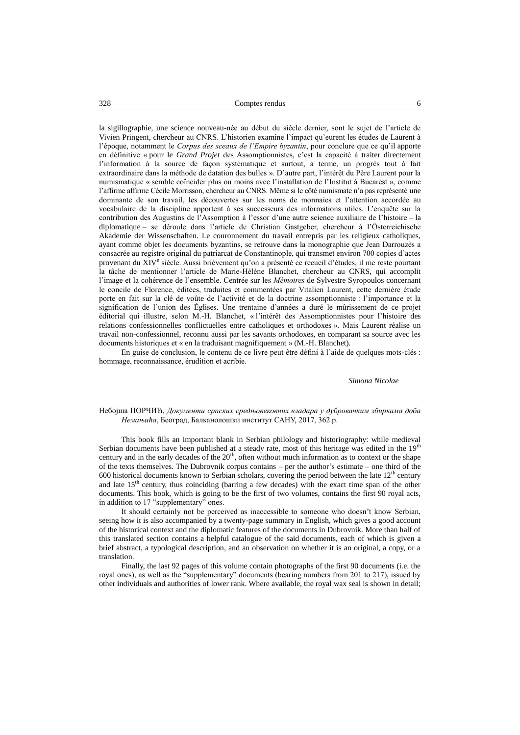la sigillographie, une science nouveau-née au début du siècle dernier, sont le sujet de l'article de Vivien Pringent, chercheur au CNRS. L'historien examine l'impact qu'eurent les études de Laurent à l'époque, notamment le *Corpus des sceaux de l'Empire byzantin*, pour conclure que ce qu'il apporte en définitive « pour le *Grand Projet* des Assomptionnistes, c'est la capacité à traiter directement l'information à la source de façon systématique et surtout, à terme, un progrès tout à fait extraordinaire dans la méthode de datation des bulles ». D'autre part, l'intérêt du Père Laurent pour la numismatique « semble coïncider plus ou moins avec l'installation de l'Institut à Bucarest », comme l'affirme affirme Cécile Morrisson, chercheur au CNRS. Même si le côté numismate n'a pas représenté une dominante de son travail, les découvertes sur les noms de monnaies et l'attention accordée au vocabulaire de la discipline apportent à ses successeurs des informations utiles. L'enquête sur la contribution des Augustins de l'Assomption à l'essor d'une autre science auxiliaire de l'histoire – la diplomatique ‒ se déroule dans l'article de Christian Gastgeber, chercheur à l'Österreichische Akademie der Wissenschaften. Le couronnement du travail entrepris par les religieux catholiques, ayant comme objet les documents byzantins, se retrouve dans la monographie que Jean Darrouzès a consacrée au registre original du patriarcat de Constantinople, qui transmet environ 700 copies d'actes provenant du XIV<sup>e</sup> siècle. Aussi brièvement qu'on a présenté ce recueil d'études, il me reste pourtant la tâche de mentionner l'article de Marie-Hélène Blanchet, chercheur au CNRS, qui accomplit l'image et la cohérence de l'ensemble. Centrée sur les *Mémoires* de Sylvestre Syropoulos concernant le concile de Florence, éditées, traduites et commentées par Vitalien Laurent, cette dernière étude porte en fait sur la clé de voûte de l'activité et de la doctrine assomptionniste : l'importance et la signification de l'union des Églises. Une trentaine d'années a duré le mûrissement de ce projet éditorial qui illustre, selon M.-H. Blanchet, « l'intérêt des Assomptionnistes pour l'histoire des relations confessionnelles conflictuelles entre catholiques et orthodoxes ». Mais Laurent réalise un travail non-confessionnel, reconnu aussi par les savants orthodoxes, en comparant sa source avec les documents historiques et « en la traduisant magnifiquement » (M.-H. Blanchet).

En guise de conclusion, le contenu de ce livre peut être défini à l'aide de quelques mots-clés : hommage, reconnaissance, érudition et acribie.

#### *Simona Nicolae*

#### Небојша ПОРЧИЋ, *Документи српских средњовековних владара у дубровачким збиркама доба Немањића*, Београд, Балканолошки институт САНУ, 2017, 362 p.

This book fills an important blank in Serbian philology and historiography: while medieval Serbian documents have been published at a steady rate, most of this heritage was edited in the 19<sup>th</sup> century and in the early decades of the  $20<sup>th</sup>$ , often without much information as to context or the shape of the texts themselves. The Dubrovnik corpus contains – per the author's estimate – one third of the 600 historical documents known to Serbian scholars, covering the period between the late  $12<sup>th</sup>$  century and late 15<sup>th</sup> century, thus coinciding (barring a few decades) with the exact time span of the other documents. This book, which is going to be the first of two volumes, contains the first 90 royal acts, in addition to 17 "supplementary" ones.

It should certainly not be perceived as inaccessible to someone who doesn't know Serbian, seeing how it is also accompanied by a twenty-page summary in English, which gives a good account of the historical context and the diplomatic features of the documents in Dubrovnik. More than half of this translated section contains a helpful catalogue of the said documents, each of which is given a brief abstract, a typological description, and an observation on whether it is an original, a copy, or a translation.

Finally, the last 92 pages of this volume contain photographs of the first 90 documents (i.e. the royal ones), as well as the "supplementary" documents (bearing numbers from 201 to 217), issued by other individuals and authorities of lower rank. Where available, the royal wax seal is shown in detail;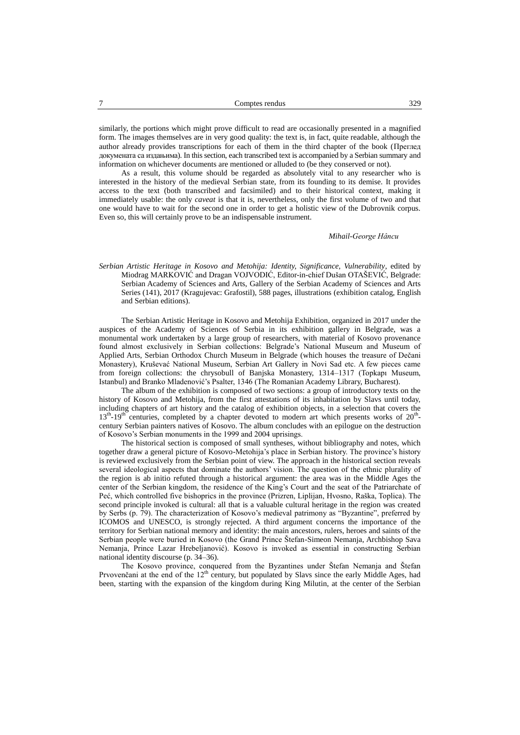similarly, the portions which might prove difficult to read are occasionally presented in a magnified form. The images themselves are in very good quality: the text is, in fact, quite readable, although the author already provides transcriptions for each of them in the third chapter of the book (Преглед докумената са издањима). In this section, each transcribed text is accompanied by a Serbian summary and information on whichever documents are mentioned or alluded to (be they conserved or not).

As a result, this volume should be regarded as absolutely vital to any researcher who is interested in the history of the medieval Serbian state, from its founding to its demise. It provides access to the text (both transcribed and facsimiled) and to their historical context, making it immediately usable: the only *caveat* is that it is, nevertheless, only the first volume of two and that one would have to wait for the second one in order to get a holistic view of the Dubrovnik corpus. Even so, this will certainly prove to be an indispensable instrument.

#### *Mihail-George Hâncu*

*Serbian Artistic Heritage in Kosovo and Metohija: Identity, Significance, Vulnerability*, edited by Miodrag MARKOVIĆ and Dragan VOJVODIĆ, Editor-in-chief Dušan OTAŠEVIĆ, Belgrade: Serbian Academy of Sciences and Arts, Gallery of the Serbian Academy of Sciences and Arts Series (141), 2017 (Kragujevac: Grafostil), 588 pages, illustrations (exhibition catalog, English and Serbian editions).

The Serbian Artistic Heritage in Kosovo and Metohija Exhibition, organized in 2017 under the auspices of the Academy of Sciences of Serbia in its exhibition gallery in Belgrade, was a monumental work undertaken by a large group of researchers, with material of Kosovo provenance found almost exclusively in Serbian collections: Belgrade's National Museum and Museum of Applied Arts, Serbian Orthodox Church Museum in Belgrade (which houses the treasure of Dečani Monastery), Kruševać National Museum, Serbian Art Gallery in Novi Sad etc. A few pieces came from foreign collections: the chrysobull of Banjska Monastery, 1314–1317 (Topkapı Museum, Istanbul) and Branko Mladenović's Psalter, 1346 (The Romanian Academy Library, Bucharest).

The album of the exhibition is composed of two sections: a group of introductory texts on the history of Kosovo and Metohija, from the first attestations of its inhabitation by Slavs until today, including chapters of art history and the catalog of exhibition objects, in a selection that covers the 13<sup>th</sup>-19<sup>th</sup> centuries, completed by a chapter devoted to modern art which presents works of 20<sup>th</sup>century Serbian painters natives of Kosovo. The album concludes with an epilogue on the destruction of Kosovo's Serbian monuments in the 1999 and 2004 uprisings.

The historical section is composed of small syntheses, without bibliography and notes, which together draw a general picture of Kosovo-Metohija's place in Serbian history. The province's history is reviewed exclusively from the Serbian point of view. The approach in the historical section reveals several ideological aspects that dominate the authors' vision. The question of the ethnic plurality of the region is ab initio refuted through a historical argument: the area was in the Middle Ages the center of the Serbian kingdom, the residence of the King's Court and the seat of the Patriarchate of Peć, which controlled five bishoprics in the province (Prizren, Liplijan, Hvosno, Raška, Toplica). The second principle invoked is cultural: all that is a valuable cultural heritage in the region was created by Serbs (p. 79). The characterization of Kosovo's medieval patrimony as "Byzantine", preferred by ICOMOS and UNESCO, is strongly rejected. A third argument concerns the importance of the territory for Serbian national memory and identity: the main ancestors, rulers, heroes and saints of the Serbian people were buried in Kosovo (the Grand Prince Štefan-Simeon Nemanja, Archbishop Sava Nemanja, Prince Lazar Hrebeljanović). Kosovo is invoked as essential in constructing Serbian national identity discourse (p. 34–36).

The Kosovo province, conquered from the Byzantines under Štefan Nemanja and Štefan Prvovenčani at the end of the 12<sup>th</sup> century, but populated by Slavs since the early Middle Ages, had been, starting with the expansion of the kingdom during King Milutin, at the center of the Serbian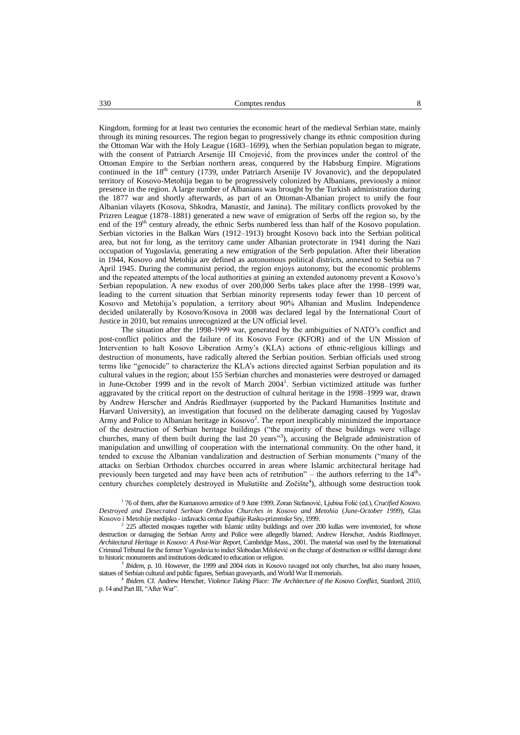Kingdom, forming for at least two centuries the economic heart of the medieval Serbian state, mainly through its mining resources. The region began to progressively change its ethnic composition during the Ottoman War with the Holy League (1683–1699), when the Serbian population began to migrate, with the consent of Patriarch Arsenije III Crnojević, from the provinces under the control of the Ottoman Empire to the Serbian northern areas, conquered by the Habsburg Empire. Migrations continued in the 18<sup>th</sup> century (1739, under Patriarch Arsenije IV Jovanovic), and the depopulated territory of Kosovo-Metohija began to be progressively colonized by Albanians, previously a minor presence in the region. A large number of Albanians was brought by the Turkish administration during the 1877 war and shortly afterwards, as part of an Ottoman-Albanian project to unify the four Albanian vilayets (Kosova, Shkodra, Manastir, and Janina). The military conflicts provoked by the Prizren League (1878–1881) generated a new wave of emigration of Serbs off the region so, by the end of the 19<sup>th</sup> century already, the ethnic Serbs numbered less than half of the Kosovo population. Serbian victories in the Balkan Wars (1912–1913) brought Kosovo back into the Serbian political area, but not for long, as the territory came under Albanian protectorate in 1941 during the Nazi occupation of Yugoslavia, generating a new emigration of the Serb population. After their liberation in 1944, Kosovo and Metohija are defined as autonomous political districts, annexed to Serbia on 7 April 1945. During the communist period, the region enjoys autonomy, but the economic problems and the repeated attempts of the local authorities at gaining an extended autonomy prevent a Kosovo's Serbian repopulation. A new exodus of over 200,000 Serbs takes place after the 1998–1999 war, leading to the current situation that Serbian minority represents today fewer than 10 percent of Kosovo and Metohija's population, a territory about 90% Albanian and Muslim. Independence decided unilaterally by Kosovo/Kosova in 2008 was declared legal by the International Court of Justice in 2010, but remains unrecognized at the UN official level.

The situation after the 1998-1999 war, generated by the ambiguities of NATO's conflict and post-conflict politics and the failure of its Kosovo Force (KFOR) and of the UN Mission of Intervention to halt Kosovo Liberation Army's (KLA) actions of ethnic-religious killings and destruction of monuments, have radically altered the Serbian position. Serbian officials used strong terms like "genocide" to characterize the KLA's actions directed against Serbian population and its cultural values in the region; about 155 Serbian churches and monasteries were destroyed or damaged in June-October 1999 and in the revolt of March 2004<sup>1</sup>. Serbian victimized attitude was further aggravated by the critical report on the destruction of cultural heritage in the 1998–1999 war, drawn by Andrew Herscher and András Riedlmayer (supported by the Packard Humanities Institute and Harvard University), an investigation that focused on the deliberate damaging caused by Yugoslav Army and Police to Albanian heritage in Kosovo<sup>2</sup>. The report inexplicably minimized the importance of the destruction of Serbian heritage buildings ("the majority of these buildings were village churches, many of them built during the last 20 years"<sup>3</sup>), accusing the Belgrade administration of manipulation and unwilling of cooperation with the international community. On the other hand, it tended to excuse the Albanian vandalization and destruction of Serbian monuments ("many of the attacks on Serbian Orthodox churches occurred in areas where Islamic architectural heritage had previously been targeted and may have been acts of retribution" – the authors referring to the  $14<sup>th</sup>$ century churches completely destroyed in Mušutište and Zočište<sup>4</sup>), although some destruction took

1 76 of them, after the Kumanovo armistice of 9 June 1999; Zoran Stefanović, Ljubisa Folić (ed.), *Crucified Kosovo. Destroyed and Desecrated Serbian Orthodox Churches in Kosovo and Metohia* (*June-October 1999*), Glas Kosovo i Metohije medijsko - izdavacki centar Eparhije Rasko-prizrenske Sry, 1999.

<sup>2</sup> 225 affected mosques together with Islamic utility buildings and over 200 kullas were inventoried, for whose destruction or damaging the Serbian Army and Police were allegedly blamed; Andrew Herscher, András Riedlmayer, *Architectural Heritage in Kosovo: A Post-War Report*, Cambridge Mass., 2001. The material was used by the International Criminal Tribunal for the former Yugoslavia to indict Slobodan Milošević on the charge of destruction or willful damage done to historic monuments and institutions dedicated to education or religion.

3 *Ibidem*, p. 10. However, the 1999 and 2004 riots in Kosovo ravaged not only churches, but also many houses, statues of Serbian cultural and public figures, Serbian graveyards, and World War II memorials.

4 *Ibidem.* Cf. Andrew Herscher, *Violence Taking Place: The Architecture of the Kosovo Conflict*, Stanford, 2010, p. 14 and Part III, "After War".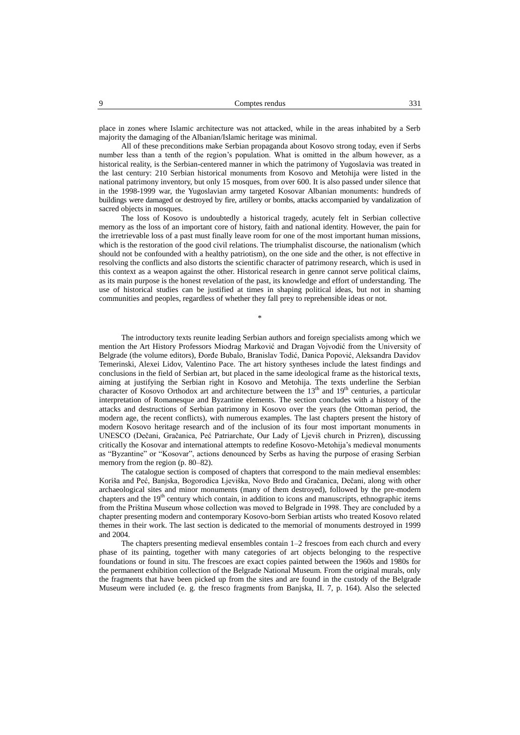place in zones where Islamic architecture was not attacked, while in the areas inhabited by a Serb majority the damaging of the Albanian/Islamic heritage was minimal.

All of these preconditions make Serbian propaganda about Kosovo strong today, even if Serbs number less than a tenth of the region's population. What is omitted in the album however, as a historical reality, is the Serbian-centered manner in which the patrimony of Yugoslavia was treated in the last century: 210 Serbian historical monuments from Kosovo and Metohija were listed in the national patrimony inventory, but only 15 mosques, from over 600. It is also passed under silence that in the 1998-1999 war, the Yugoslavian army targeted Kosovar Albanian monuments: hundreds of buildings were damaged or destroyed by fire, artillery or bombs, attacks accompanied by vandalization of sacred objects in mosques.

The loss of Kosovo is undoubtedly a historical tragedy, acutely felt in Serbian collective memory as the loss of an important core of history, faith and national identity. However, the pain for the irretrievable loss of a past must finally leave room for one of the most important human missions, which is the restoration of the good civil relations. The triumphalist discourse, the nationalism (which should not be confounded with a healthy patriotism), on the one side and the other, is not effective in resolving the conflicts and also distorts the scientific character of patrimony research, which is used in this context as a weapon against the other. Historical research in genre cannot serve political claims, as its main purpose is the honest revelation of the past, its knowledge and effort of understanding. The use of historical studies can be justified at times in shaping political ideas, but not in shaming communities and peoples, regardless of whether they fall prey to reprehensible ideas or not.

\*

The introductory texts reunite leading Serbian authors and foreign specialists among which we mention the Art History Professors Miodrag Marković and Dragan Vojvodić from the University of Belgrade (the volume editors), Đorđe Bubalo*,* Branislav Todić, Danica Popović, Aleksandra Davidov Temerinski, Alexei Lidov, Valentino Pace. The art history syntheses include the latest findings and conclusions in the field of Serbian art, but placed in the same ideological frame as the historical texts, aiming at justifying the Serbian right in Kosovo and Metohija. The texts underline the Serbian character of Kosovo Orthodox art and architecture between the 13<sup>th</sup> and 19<sup>th</sup> centuries, a particular interpretation of Romanesque and Byzantine elements. The section concludes with a history of the attacks and destructions of Serbian patrimony in Kosovo over the years (the Ottoman period, the modern age, the recent conflicts), with numerous examples. The last chapters present the history of modern Kosovo heritage research and of the inclusion of its four most important monuments in UNESCO (Dečani, Gračanica, Peć Patriarchate, Our Lady of Ljeviš church in Prizren), discussing critically the Kosovar and international attempts to redefine Kosovo-Metohija's medieval monuments as "Byzantine" or "Kosovar", actions denounced by Serbs as having the purpose of erasing Serbian memory from the region (p. 80–82).

The catalogue section is composed of chapters that correspond to the main medieval ensembles: Koriša and Peć, Banjska, Bogorodica Ljeviška, Novo Brdo and Gračanica, Dečani, along with other archaeological sites and minor monuments (many of them destroyed), followed by the pre-modern chapters and the 19<sup>th</sup> century which contain, in addition to icons and manuscripts, ethnographic items from the Priština Museum whose collection was moved to Belgrade in 1998. They are concluded by a chapter presenting modern and contemporary Kosovo-born Serbian artists who treated Kosovo related themes in their work. The last section is dedicated to the memorial of monuments destroyed in 1999 and 2004.

The chapters presenting medieval ensembles contain 1–2 frescoes from each church and every phase of its painting, together with many categories of art objects belonging to the respective foundations or found in situ. The frescoes are exact copies painted between the 1960s and 1980s for the permanent exhibition collection of the Belgrade National Museum. From the original murals, only the fragments that have been picked up from the sites and are found in the custody of the Belgrade Museum were included (e. g. the fresco fragments from Banjska, II. 7, p. 164). Also the selected